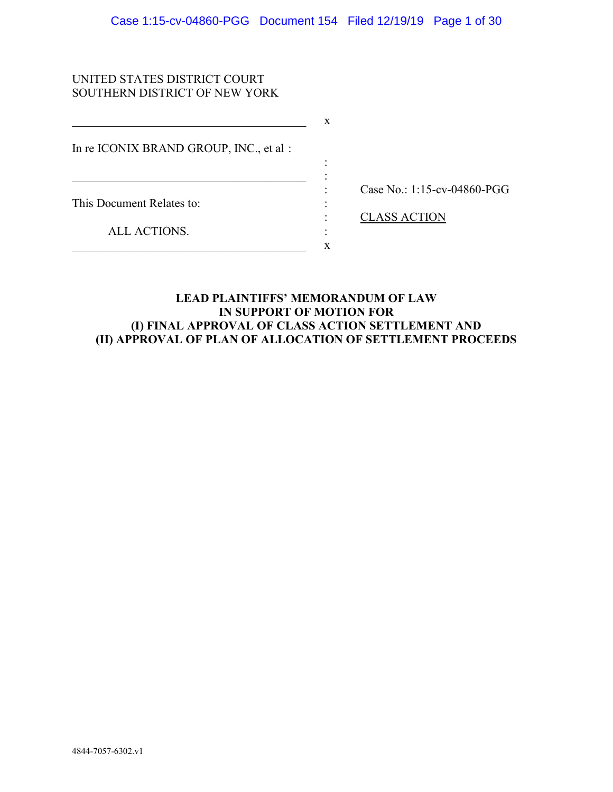:

 $\mathbf x$ 

# UNITED STATES DISTRICT COURT SOUTHERN DISTRICT OF NEW YORK

In re ICONIX BRAND GROUP, INC., et al :

 $\_$  . The set of the set of the set of the set of the set of the set of the set of the set of the set of the set of the set of the set of the set of the set of the set of the set of the set of the set of the set of the se

 $\mathbf{x}$ 

This Document Relates to:  $\cdot$  :

: Case No.: 1:15-cv-04860-PGG

ALL ACTIONS. :

: CLASS ACTION

# **LEAD PLAINTIFFS' MEMORANDUM OF LAW IN SUPPORT OF MOTION FOR (I) FINAL APPROVAL OF CLASS ACTION SETTLEMENT AND (II) APPROVAL OF PLAN OF ALLOCATION OF SETTLEMENT PROCEEDS**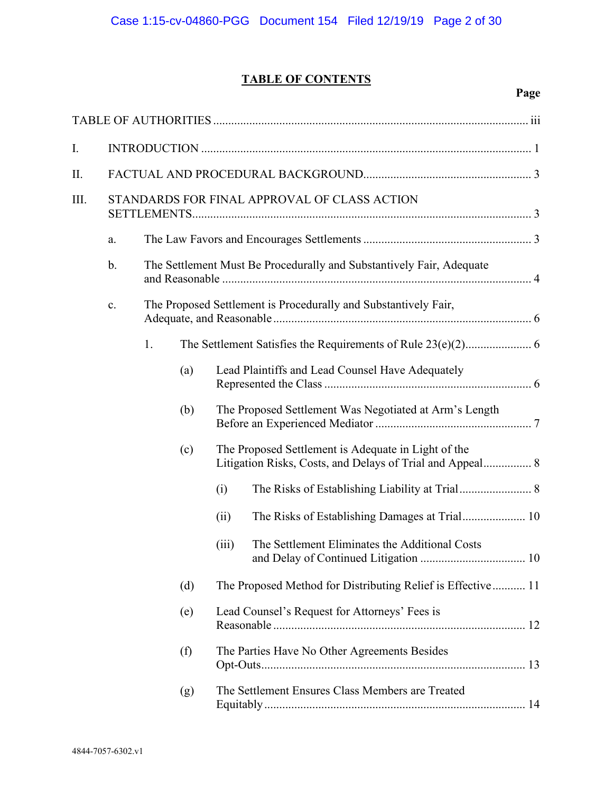# **TABLE OF CONTENTS**

| I.      |                |                                                                      |     |       |                                                                                                                  |  |  |
|---------|----------------|----------------------------------------------------------------------|-----|-------|------------------------------------------------------------------------------------------------------------------|--|--|
| $\prod$ |                |                                                                      |     |       |                                                                                                                  |  |  |
| III.    |                |                                                                      |     |       | STANDARDS FOR FINAL APPROVAL OF CLASS ACTION                                                                     |  |  |
|         | a.             |                                                                      |     |       |                                                                                                                  |  |  |
|         | b.             | The Settlement Must Be Procedurally and Substantively Fair, Adequate |     |       |                                                                                                                  |  |  |
|         | $\mathbf{c}$ . |                                                                      |     |       | The Proposed Settlement is Procedurally and Substantively Fair,                                                  |  |  |
|         |                | 1.                                                                   |     |       |                                                                                                                  |  |  |
|         |                |                                                                      | (a) |       | Lead Plaintiffs and Lead Counsel Have Adequately                                                                 |  |  |
|         |                |                                                                      | (b) |       | The Proposed Settlement Was Negotiated at Arm's Length                                                           |  |  |
|         |                |                                                                      | (c) |       | The Proposed Settlement is Adequate in Light of the<br>Litigation Risks, Costs, and Delays of Trial and Appeal 8 |  |  |
|         |                |                                                                      |     | (i)   |                                                                                                                  |  |  |
|         |                |                                                                      |     | (ii)  |                                                                                                                  |  |  |
|         |                |                                                                      |     | (iii) | The Settlement Eliminates the Additional Costs                                                                   |  |  |
|         |                |                                                                      | (d) |       | The Proposed Method for Distributing Relief is Effective 11                                                      |  |  |
|         |                |                                                                      | (e) |       | Lead Counsel's Request for Attorneys' Fees is                                                                    |  |  |
|         |                |                                                                      | (f) |       | The Parties Have No Other Agreements Besides                                                                     |  |  |
|         |                |                                                                      | (g) |       | The Settlement Ensures Class Members are Treated                                                                 |  |  |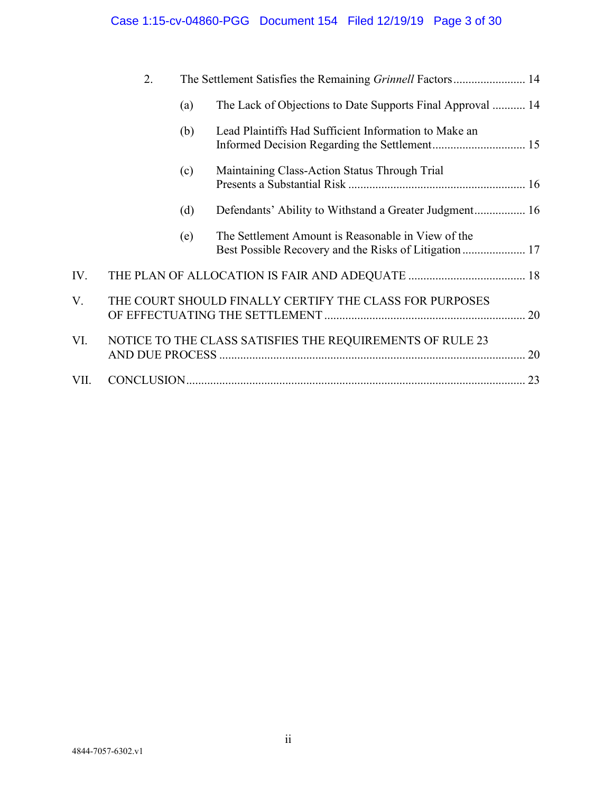# Case 1:15-cv-04860-PGG Document 154 Filed 12/19/19 Page 3 of 30

|      | 2.                                                      |     |                                                            |    |
|------|---------------------------------------------------------|-----|------------------------------------------------------------|----|
|      |                                                         | (a) | The Lack of Objections to Date Supports Final Approval  14 |    |
|      |                                                         | (b) | Lead Plaintiffs Had Sufficient Information to Make an      |    |
|      |                                                         | (c) | Maintaining Class-Action Status Through Trial              |    |
|      |                                                         | (d) |                                                            |    |
|      |                                                         | (e) | The Settlement Amount is Reasonable in View of the         |    |
| IV.  |                                                         |     |                                                            |    |
| V.   | THE COURT SHOULD FINALLY CERTIFY THE CLASS FOR PURPOSES |     |                                                            |    |
| VI.  |                                                         |     | NOTICE TO THE CLASS SATISFIES THE REQUIREMENTS OF RULE 23  | 20 |
| VII. |                                                         |     |                                                            | 23 |
|      |                                                         |     |                                                            |    |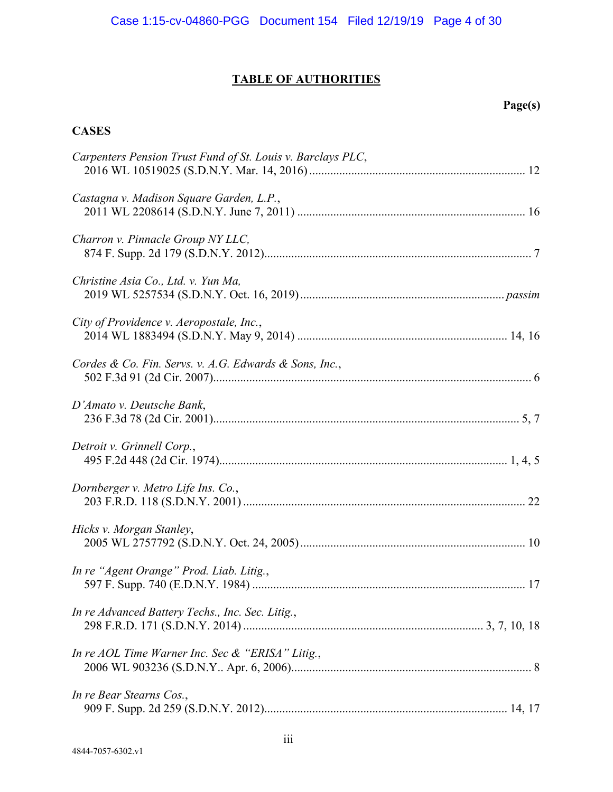# **TABLE OF AUTHORITIES**

# **Page(s)**

# **CASES**

| Carpenters Pension Trust Fund of St. Louis v. Barclays PLC, |  |
|-------------------------------------------------------------|--|
| Castagna v. Madison Square Garden, L.P.,                    |  |
| Charron v. Pinnacle Group NY LLC,                           |  |
| Christine Asia Co., Ltd. v. Yun Ma,                         |  |
| City of Providence v. Aeropostale, Inc.,                    |  |
| Cordes & Co. Fin. Servs. v. A.G. Edwards & Sons, Inc.,      |  |
| D'Amato v. Deutsche Bank,                                   |  |
| Detroit v. Grinnell Corp.,                                  |  |
| Dornberger v. Metro Life Ins. Co.,                          |  |
| Hicks v. Morgan Stanley,                                    |  |
| In re "Agent Orange" Prod. Liab. Litig.,                    |  |
| In re Advanced Battery Techs., Inc. Sec. Litig.,            |  |
| In re AOL Time Warner Inc. Sec & "ERISA" Litig.,            |  |
| In re Bear Stearns Cos.,                                    |  |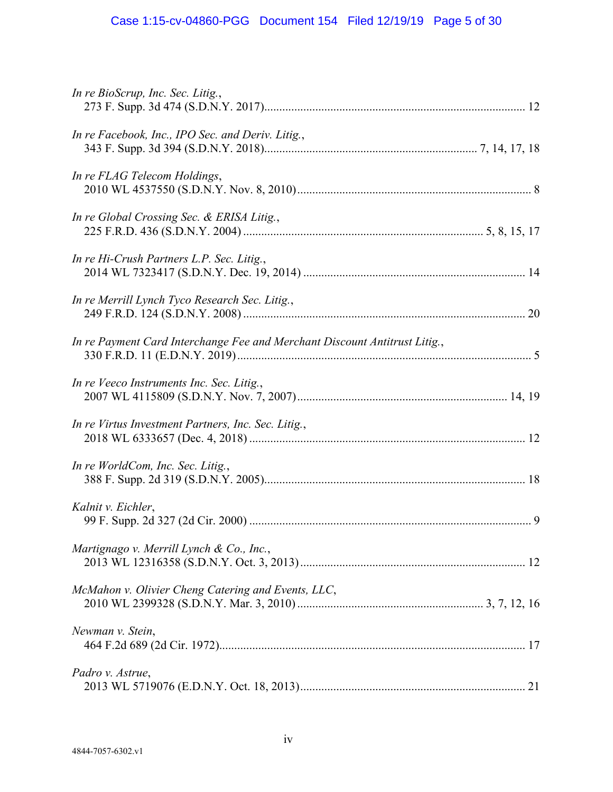| In re BioScrup, Inc. Sec. Litig.,                                          |  |
|----------------------------------------------------------------------------|--|
| In re Facebook, Inc., IPO Sec. and Deriv. Litig.,                          |  |
| In re FLAG Telecom Holdings,                                               |  |
| In re Global Crossing Sec. & ERISA Litig.,                                 |  |
| In re Hi-Crush Partners L.P. Sec. Litig.,                                  |  |
| In re Merrill Lynch Tyco Research Sec. Litig.,                             |  |
| In re Payment Card Interchange Fee and Merchant Discount Antitrust Litig., |  |
| In re Veeco Instruments Inc. Sec. Litig.,                                  |  |
| In re Virtus Investment Partners, Inc. Sec. Litig.,                        |  |
| In re WorldCom, Inc. Sec. Litig.,                                          |  |
| Kalnit v. Eichler,                                                         |  |
| Martignago v. Merrill Lynch & Co., Inc.,                                   |  |
| McMahon v. Olivier Cheng Catering and Events, LLC,                         |  |
| Newman v. Stein,                                                           |  |
| Padro v. Astrue,                                                           |  |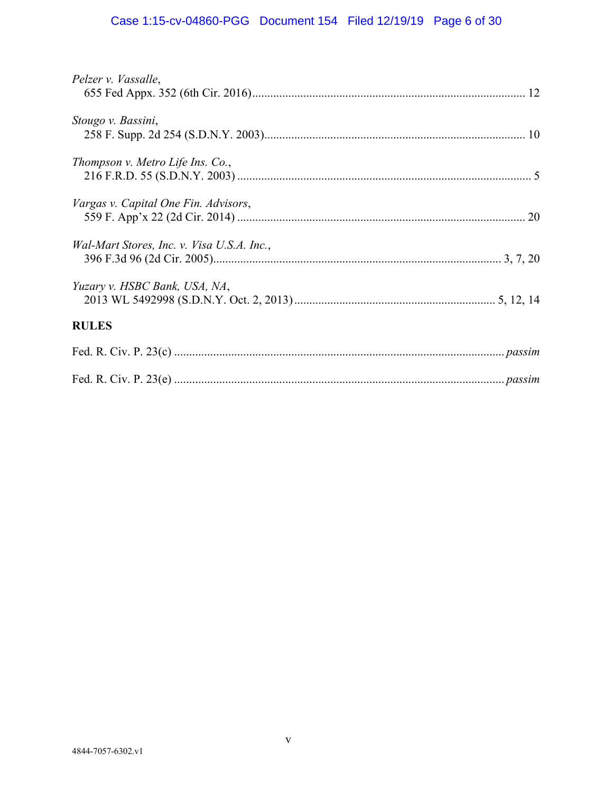# Case 1:15-cv-04860-PGG Document 154 Filed 12/19/19 Page 6 of 30

| Pelzer v. Vassalle,                        |  |
|--------------------------------------------|--|
| Stougo v. Bassini,                         |  |
| Thompson v. Metro Life Ins. Co.,           |  |
| Vargas v. Capital One Fin. Advisors,       |  |
| Wal-Mart Stores, Inc. v. Visa U.S.A. Inc., |  |
| Yuzary v. HSBC Bank, USA, NA,              |  |
| <b>RULES</b>                               |  |
|                                            |  |
|                                            |  |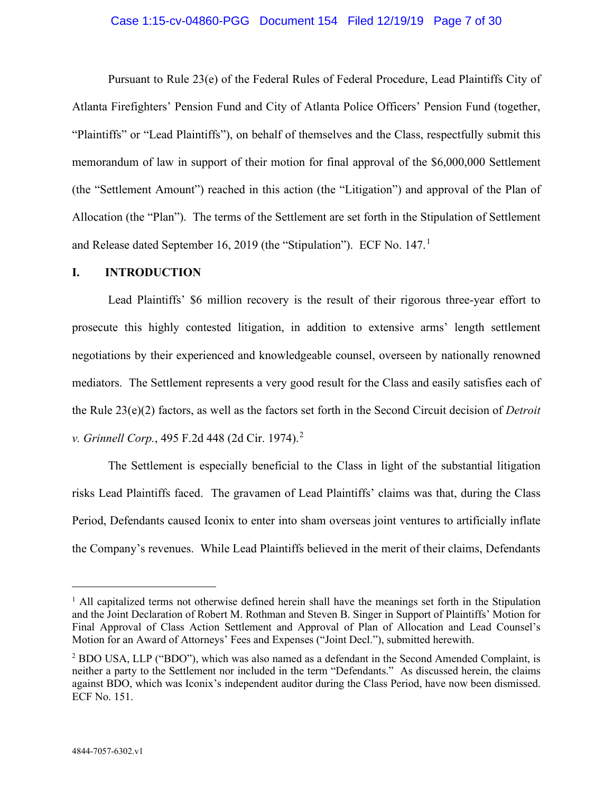#### Case 1:15-cv-04860-PGG Document 154 Filed 12/19/19 Page 7 of 30

Pursuant to Rule 23(e) of the Federal Rules of Federal Procedure, Lead Plaintiffs City of Atlanta Firefighters' Pension Fund and City of Atlanta Police Officers' Pension Fund (together, "Plaintiffs" or "Lead Plaintiffs"), on behalf of themselves and the Class, respectfully submit this memorandum of law in support of their motion for final approval of the \$6,000,000 Settlement (the "Settlement Amount") reached in this action (the "Litigation") and approval of the Plan of Allocation (the "Plan"). The terms of the Settlement are set forth in the Stipulation of Settlement and Release dated September [1](#page-6-1)6, 2019 (the "Stipulation"). ECF No. 147.<sup>1</sup>

#### <span id="page-6-0"></span>**I. INTRODUCTION**

Lead Plaintiffs' \$6 million recovery is the result of their rigorous three-year effort to prosecute this highly contested litigation, in addition to extensive arms' length settlement negotiations by their experienced and knowledgeable counsel, overseen by nationally renowned mediators. The Settlement represents a very good result for the Class and easily satisfies each of the Rule 23(e)(2) factors, as well as the factors set forth in the Second Circuit decision of *Detroit v. Grinnell Corp.*, 495 F.2d 448 (2d Cir. 1974). [2](#page-6-2)

The Settlement is especially beneficial to the Class in light of the substantial litigation risks Lead Plaintiffs faced. The gravamen of Lead Plaintiffs' claims was that, during the Class Period, Defendants caused Iconix to enter into sham overseas joint ventures to artificially inflate the Company's revenues. While Lead Plaintiffs believed in the merit of their claims, Defendants

<span id="page-6-1"></span> $<sup>1</sup>$  All capitalized terms not otherwise defined herein shall have the meanings set forth in the Stipulation</sup> and the Joint Declaration of Robert M. Rothman and Steven B. Singer in Support of Plaintiffs' Motion for Final Approval of Class Action Settlement and Approval of Plan of Allocation and Lead Counsel's Motion for an Award of Attorneys' Fees and Expenses ("Joint Decl."), submitted herewith.

<span id="page-6-2"></span><sup>2</sup> BDO USA, LLP ("BDO"), which was also named as a defendant in the Second Amended Complaint, is neither a party to the Settlement nor included in the term "Defendants." As discussed herein, the claims against BDO, which was Iconix's independent auditor during the Class Period, have now been dismissed. ECF No. 151.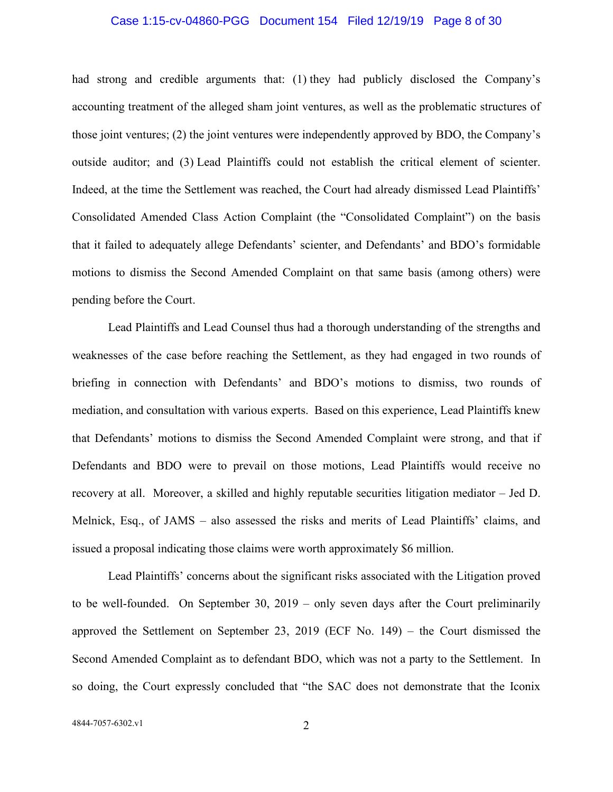#### Case 1:15-cv-04860-PGG Document 154 Filed 12/19/19 Page 8 of 30

had strong and credible arguments that: (1) they had publicly disclosed the Company's accounting treatment of the alleged sham joint ventures, as well as the problematic structures of those joint ventures; (2) the joint ventures were independently approved by BDO, the Company's outside auditor; and (3) Lead Plaintiffs could not establish the critical element of scienter. Indeed, at the time the Settlement was reached, the Court had already dismissed Lead Plaintiffs' Consolidated Amended Class Action Complaint (the "Consolidated Complaint") on the basis that it failed to adequately allege Defendants' scienter, and Defendants' and BDO's formidable motions to dismiss the Second Amended Complaint on that same basis (among others) were pending before the Court.

Lead Plaintiffs and Lead Counsel thus had a thorough understanding of the strengths and weaknesses of the case before reaching the Settlement, as they had engaged in two rounds of briefing in connection with Defendants' and BDO's motions to dismiss, two rounds of mediation, and consultation with various experts. Based on this experience, Lead Plaintiffs knew that Defendants' motions to dismiss the Second Amended Complaint were strong, and that if Defendants and BDO were to prevail on those motions, Lead Plaintiffs would receive no recovery at all. Moreover, a skilled and highly reputable securities litigation mediator – Jed D. Melnick, Esq., of JAMS – also assessed the risks and merits of Lead Plaintiffs' claims, and issued a proposal indicating those claims were worth approximately \$6 million.

Lead Plaintiffs' concerns about the significant risks associated with the Litigation proved to be well-founded. On September 30, 2019 – only seven days after the Court preliminarily approved the Settlement on September 23, 2019 (ECF No. 149) – the Court dismissed the Second Amended Complaint as to defendant BDO, which was not a party to the Settlement. In so doing, the Court expressly concluded that "the SAC does not demonstrate that the Iconix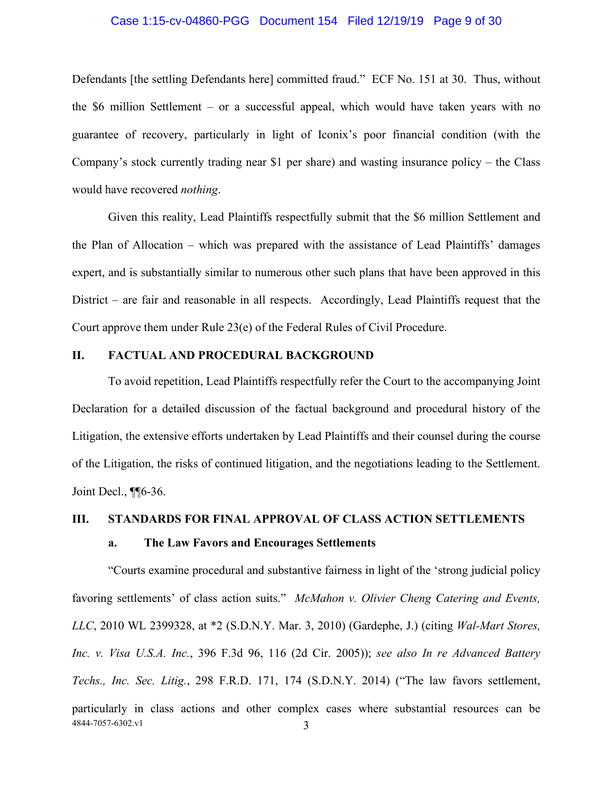#### Case 1:15-cv-04860-PGG Document 154 Filed 12/19/19 Page 9 of 30

Defendants [the settling Defendants here] committed fraud." ECF No. 151 at 30. Thus, without the \$6 million Settlement – or a successful appeal, which would have taken years with no guarantee of recovery, particularly in light of Iconix's poor financial condition (with the Company's stock currently trading near \$1 per share) and wasting insurance policy – the Class would have recovered *nothing*.

Given this reality, Lead Plaintiffs respectfully submit that the \$6 million Settlement and the Plan of Allocation – which was prepared with the assistance of Lead Plaintiffs' damages expert, and is substantially similar to numerous other such plans that have been approved in this District – are fair and reasonable in all respects. Accordingly, Lead Plaintiffs request that the Court approve them under Rule 23(e) of the Federal Rules of Civil Procedure.

# <span id="page-8-0"></span>**II. FACTUAL AND PROCEDURAL BACKGROUND**

To avoid repetition, Lead Plaintiffs respectfully refer the Court to the accompanying Joint Declaration for a detailed discussion of the factual background and procedural history of the Litigation, the extensive efforts undertaken by Lead Plaintiffs and their counsel during the course of the Litigation, the risks of continued litigation, and the negotiations leading to the Settlement. Joint Decl., ¶¶6-36.

# <span id="page-8-2"></span>**III. STANDARDS FOR FINAL APPROVAL OF CLASS ACTION SETTLEMENTS**

#### <span id="page-8-1"></span>**a. The Law Favors and Encourages Settlements**

4844-7057-6302.v1 3 "Courts examine procedural and substantive fairness in light of the 'strong judicial policy favoring settlements' of class action suits." *McMahon v. Olivier Cheng Catering and Events, LLC*, 2010 WL 2399328, at \*2 (S.D.N.Y. Mar. 3, 2010) (Gardephe, J.) (citing *Wal-Mart Stores, Inc. v. Visa U.S.A. Inc.*, 396 F.3d 96, 116 (2d Cir. 2005)); *see also In re Advanced Battery Techs., Inc. Sec. Litig.*, 298 F.R.D. 171, 174 (S.D.N.Y. 2014) ("The law favors settlement, particularly in class actions and other complex cases where substantial resources can be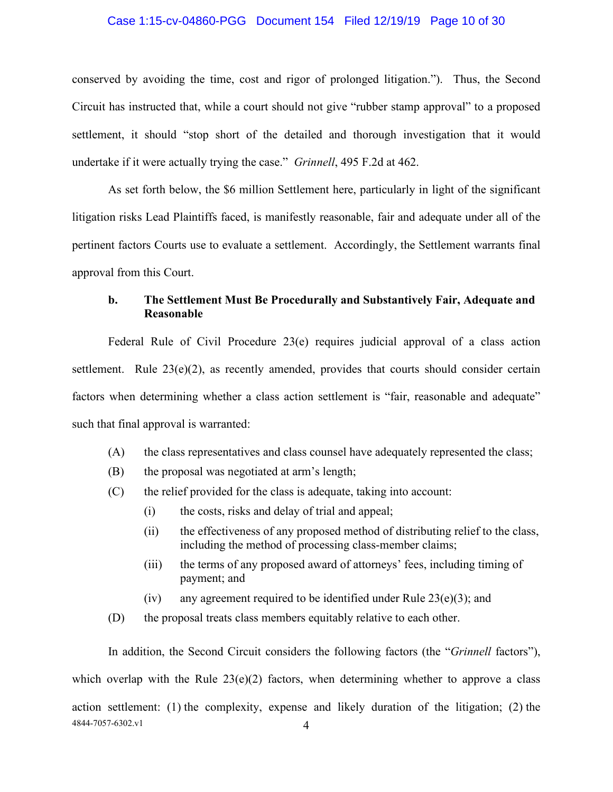#### Case 1:15-cv-04860-PGG Document 154 Filed 12/19/19 Page 10 of 30

conserved by avoiding the time, cost and rigor of prolonged litigation."). Thus, the Second Circuit has instructed that, while a court should not give "rubber stamp approval" to a proposed settlement, it should "stop short of the detailed and thorough investigation that it would undertake if it were actually trying the case." *Grinnell*, 495 F.2d at 462.

As set forth below, the \$6 million Settlement here, particularly in light of the significant litigation risks Lead Plaintiffs faced, is manifestly reasonable, fair and adequate under all of the pertinent factors Courts use to evaluate a settlement. Accordingly, the Settlement warrants final approval from this Court.

# <span id="page-9-0"></span>**b. The Settlement Must Be Procedurally and Substantively Fair, Adequate and Reasonable**

Federal Rule of Civil Procedure 23(e) requires judicial approval of a class action settlement. Rule 23(e)(2), as recently amended, provides that courts should consider certain factors when determining whether a class action settlement is "fair, reasonable and adequate" such that final approval is warranted:

- (A) the class representatives and class counsel have adequately represented the class;
- (B) the proposal was negotiated at arm's length;
- (C) the relief provided for the class is adequate, taking into account:
	- (i) the costs, risks and delay of trial and appeal;
	- (ii) the effectiveness of any proposed method of distributing relief to the class, including the method of processing class-member claims;
	- (iii) the terms of any proposed award of attorneys' fees, including timing of payment; and
	- (iv) any agreement required to be identified under Rule  $23(e)(3)$ ; and
- (D) the proposal treats class members equitably relative to each other.

4844-7057-6302.v1 4 In addition, the Second Circuit considers the following factors (the "*Grinnell* factors"), which overlap with the Rule  $23(e)(2)$  factors, when determining whether to approve a class action settlement: (1) the complexity, expense and likely duration of the litigation; (2) the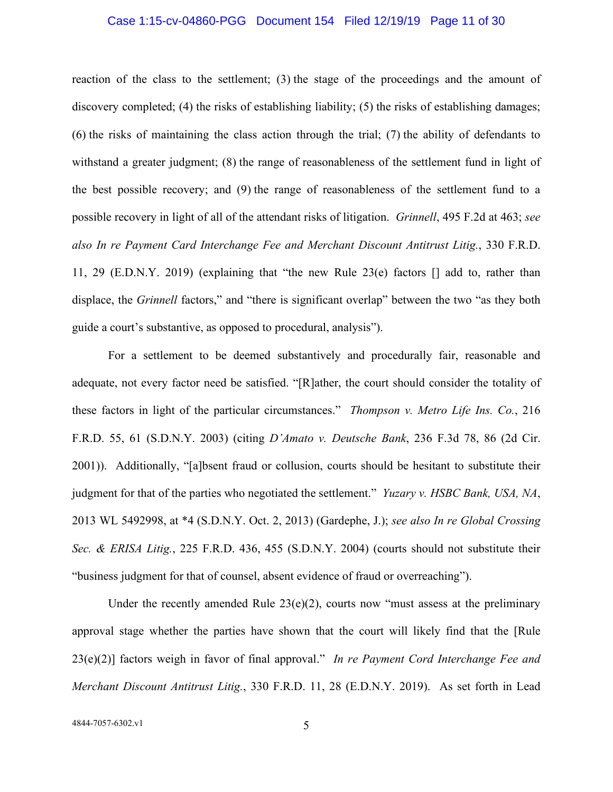#### Case 1:15-cv-04860-PGG Document 154 Filed 12/19/19 Page 11 of 30

reaction of the class to the settlement; (3) the stage of the proceedings and the amount of discovery completed; (4) the risks of establishing liability; (5) the risks of establishing damages; (6) the risks of maintaining the class action through the trial; (7) the ability of defendants to withstand a greater judgment; (8) the range of reasonableness of the settlement fund in light of the best possible recovery; and (9) the range of reasonableness of the settlement fund to a possible recovery in light of all of the attendant risks of litigation. *Grinnell*, 495 F.2d at 463; *see also In re Payment Card Interchange Fee and Merchant Discount Antitrust Litig.*, 330 F.R.D. 11, 29 (E.D.N.Y. 2019) (explaining that "the new Rule 23(e) factors [] add to, rather than displace, the *Grinnell* factors," and "there is significant overlap" between the two "as they both guide a court's substantive, as opposed to procedural, analysis").

For a settlement to be deemed substantively and procedurally fair, reasonable and adequate, not every factor need be satisfied. "[R]ather, the court should consider the totality of these factors in light of the particular circumstances." *Thompson v. Metro Life Ins. Co.*, 216 F.R.D. 55, 61 (S.D.N.Y. 2003) (citing *D'Amato v. Deutsche Bank*, 236 F.3d 78, 86 (2d Cir. 2001)). Additionally, "[a]bsent fraud or collusion, courts should be hesitant to substitute their judgment for that of the parties who negotiated the settlement." *Yuzary v. HSBC Bank, USA, NA*, 2013 WL 5492998, at \*4 (S.D.N.Y. Oct. 2, 2013) (Gardephe, J.); *see also In re Global Crossing Sec. & ERISA Litig.*, 225 F.R.D. 436, 455 (S.D.N.Y. 2004) (courts should not substitute their "business judgment for that of counsel, absent evidence of fraud or overreaching").

Under the recently amended Rule  $23(e)(2)$ , courts now "must assess at the preliminary approval stage whether the parties have shown that the court will likely find that the [Rule 23(e)(2)] factors weigh in favor of final approval." *In re Payment Cord Interchange Fee and Merchant Discount Antitrust Litig.*, 330 F.R.D. 11, 28 (E.D.N.Y. 2019). As set forth in Lead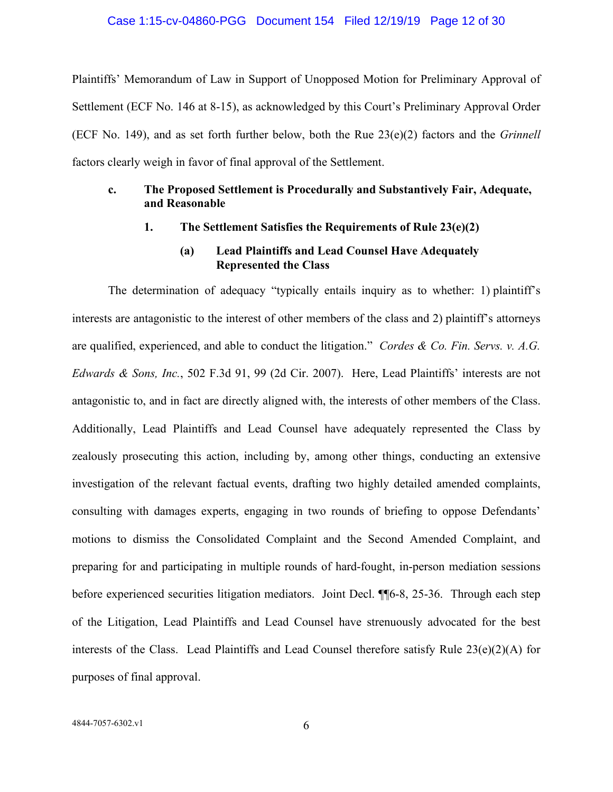#### Case 1:15-cv-04860-PGG Document 154 Filed 12/19/19 Page 12 of 30

Plaintiffs' Memorandum of Law in Support of Unopposed Motion for Preliminary Approval of Settlement (ECF No. 146 at 8-15), as acknowledged by this Court's Preliminary Approval Order (ECF No. 149), and as set forth further below, both the Rue 23(e)(2) factors and the *Grinnell*  factors clearly weigh in favor of final approval of the Settlement.

# <span id="page-11-1"></span><span id="page-11-0"></span>**c. The Proposed Settlement is Procedurally and Substantively Fair, Adequate, and Reasonable**

**1. The Settlement Satisfies the Requirements of Rule 23(e)(2)**

### **(a) Lead Plaintiffs and Lead Counsel Have Adequately Represented the Class**

<span id="page-11-2"></span>The determination of adequacy "typically entails inquiry as to whether: 1) plaintiff's interests are antagonistic to the interest of other members of the class and 2) plaintiff's attorneys are qualified, experienced, and able to conduct the litigation." *Cordes & Co. Fin. Servs. v. A.G. Edwards & Sons, Inc.*, 502 F.3d 91, 99 (2d Cir. 2007). Here, Lead Plaintiffs' interests are not antagonistic to, and in fact are directly aligned with, the interests of other members of the Class. Additionally, Lead Plaintiffs and Lead Counsel have adequately represented the Class by zealously prosecuting this action, including by, among other things, conducting an extensive investigation of the relevant factual events, drafting two highly detailed amended complaints, consulting with damages experts, engaging in two rounds of briefing to oppose Defendants' motions to dismiss the Consolidated Complaint and the Second Amended Complaint, and preparing for and participating in multiple rounds of hard-fought, in-person mediation sessions before experienced securities litigation mediators. Joint Decl. ¶¶6-8, 25-36. Through each step of the Litigation, Lead Plaintiffs and Lead Counsel have strenuously advocated for the best interests of the Class. Lead Plaintiffs and Lead Counsel therefore satisfy Rule 23(e)(2)(A) for purposes of final approval.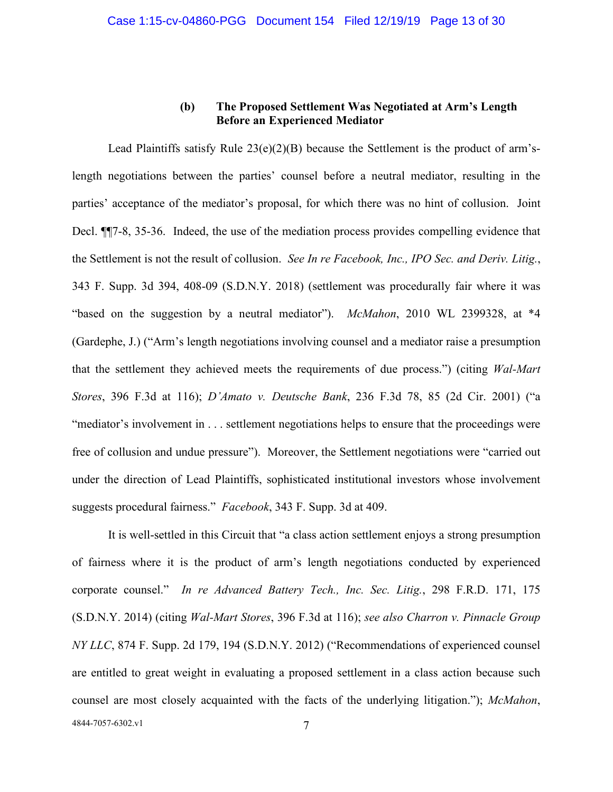# **(b) The Proposed Settlement Was Negotiated at Arm's Length Before an Experienced Mediator**

<span id="page-12-0"></span>Lead Plaintiffs satisfy Rule  $23(e)(2)(B)$  because the Settlement is the product of arm'slength negotiations between the parties' counsel before a neutral mediator, resulting in the parties' acceptance of the mediator's proposal, for which there was no hint of collusion. Joint Decl. ¶¶7-8, 35-36. Indeed, the use of the mediation process provides compelling evidence that the Settlement is not the result of collusion. *See In re Facebook, Inc., IPO Sec. and Deriv. Litig.*, 343 F. Supp. 3d 394, 408-09 (S.D.N.Y. 2018) (settlement was procedurally fair where it was "based on the suggestion by a neutral mediator"). *McMahon*, 2010 WL 2399328, at \*4 (Gardephe, J.) ("Arm's length negotiations involving counsel and a mediator raise a presumption that the settlement they achieved meets the requirements of due process.") (citing *Wal-Mart Stores*, 396 F.3d at 116); *D'Amato v. Deutsche Bank*, 236 F.3d 78, 85 (2d Cir. 2001) ("a "mediator's involvement in . . . settlement negotiations helps to ensure that the proceedings were free of collusion and undue pressure"). Moreover, the Settlement negotiations were "carried out under the direction of Lead Plaintiffs, sophisticated institutional investors whose involvement suggests procedural fairness." *Facebook*, 343 F. Supp. 3d at 409.

4844-7057-6302.v1 7 It is well-settled in this Circuit that "a class action settlement enjoys a strong presumption of fairness where it is the product of arm's length negotiations conducted by experienced corporate counsel." *In re Advanced Battery Tech., Inc. Sec. Litig.*, 298 F.R.D. 171, 175 (S.D.N.Y. 2014) (citing *Wal-Mart Stores*, 396 F.3d at 116); *see also Charron v. Pinnacle Group NY LLC*, 874 F. Supp. 2d 179, 194 (S.D.N.Y. 2012) ("Recommendations of experienced counsel are entitled to great weight in evaluating a proposed settlement in a class action because such counsel are most closely acquainted with the facts of the underlying litigation."); *McMahon*,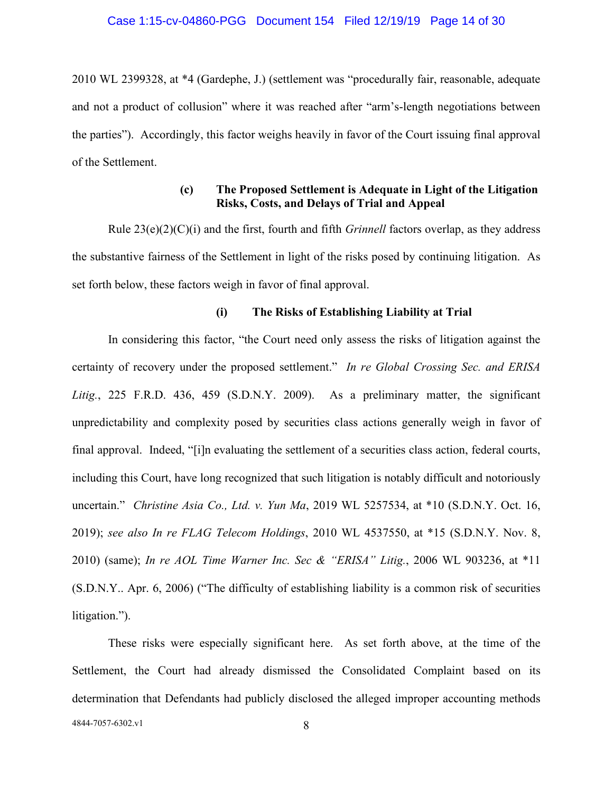#### Case 1:15-cv-04860-PGG Document 154 Filed 12/19/19 Page 14 of 30

2010 WL 2399328, at \*4 (Gardephe, J.) (settlement was "procedurally fair, reasonable, adequate and not a product of collusion" where it was reached after "arm's-length negotiations between the parties"). Accordingly, this factor weighs heavily in favor of the Court issuing final approval of the Settlement.

# **(c) The Proposed Settlement is Adequate in Light of the Litigation Risks, Costs, and Delays of Trial and Appeal**

<span id="page-13-0"></span>Rule 23(e)(2)(C)(i) and the first, fourth and fifth *Grinnell* factors overlap, as they address the substantive fairness of the Settlement in light of the risks posed by continuing litigation. As set forth below, these factors weigh in favor of final approval.

#### **(i) The Risks of Establishing Liability at Trial**

<span id="page-13-1"></span>In considering this factor, "the Court need only assess the risks of litigation against the certainty of recovery under the proposed settlement." *In re Global Crossing Sec. and ERISA Litig.*, 225 F.R.D. 436, 459 (S.D.N.Y. 2009). As a preliminary matter, the significant unpredictability and complexity posed by securities class actions generally weigh in favor of final approval. Indeed, "[i]n evaluating the settlement of a securities class action, federal courts, including this Court, have long recognized that such litigation is notably difficult and notoriously uncertain." *Christine Asia Co., Ltd. v. Yun Ma*, 2019 WL 5257534, at \*10 (S.D.N.Y. Oct. 16, 2019); *see also In re FLAG Telecom Holdings*, 2010 WL 4537550, at \*15 (S.D.N.Y. Nov. 8, 2010) (same); *In re AOL Time Warner Inc. Sec & "ERISA" Litig.*, 2006 WL 903236, at \*11 (S.D.N.Y.. Apr. 6, 2006) ("The difficulty of establishing liability is a common risk of securities litigation.").

These risks were especially significant here. As set forth above, at the time of the Settlement, the Court had already dismissed the Consolidated Complaint based on its determination that Defendants had publicly disclosed the alleged improper accounting methods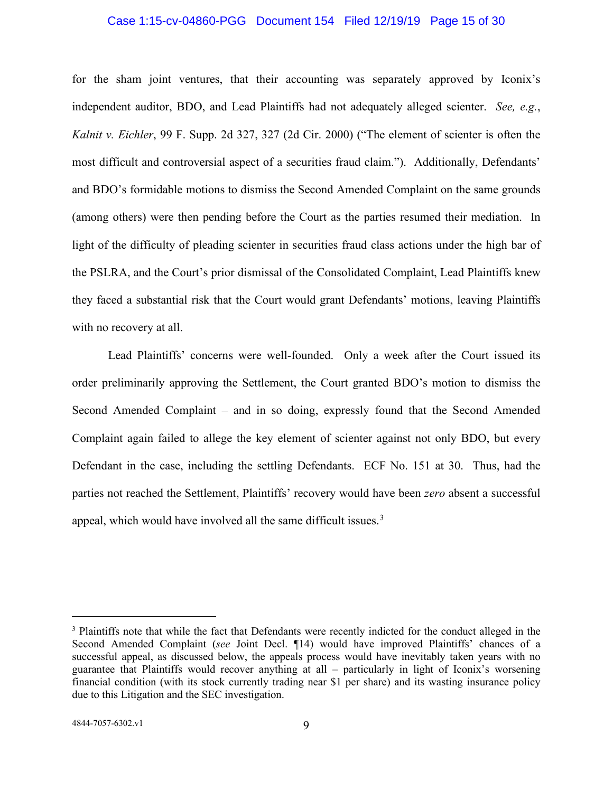#### Case 1:15-cv-04860-PGG Document 154 Filed 12/19/19 Page 15 of 30

for the sham joint ventures, that their accounting was separately approved by Iconix's independent auditor, BDO, and Lead Plaintiffs had not adequately alleged scienter. *See, e.g.*, *Kalnit v. Eichler*, 99 F. Supp. 2d 327, 327 (2d Cir. 2000) ("The element of scienter is often the most difficult and controversial aspect of a securities fraud claim."). Additionally, Defendants' and BDO's formidable motions to dismiss the Second Amended Complaint on the same grounds (among others) were then pending before the Court as the parties resumed their mediation. In light of the difficulty of pleading scienter in securities fraud class actions under the high bar of the PSLRA, and the Court's prior dismissal of the Consolidated Complaint, Lead Plaintiffs knew they faced a substantial risk that the Court would grant Defendants' motions, leaving Plaintiffs with no recovery at all.

Lead Plaintiffs' concerns were well-founded. Only a week after the Court issued its order preliminarily approving the Settlement, the Court granted BDO's motion to dismiss the Second Amended Complaint – and in so doing, expressly found that the Second Amended Complaint again failed to allege the key element of scienter against not only BDO, but every Defendant in the case, including the settling Defendants. ECF No. 151 at 30. Thus, had the parties not reached the Settlement, Plaintiffs' recovery would have been *zero* absent a successful appeal, which would have involved all the same difficult issues.<sup>[3](#page-14-0)</sup>

<span id="page-14-0"></span><sup>3</sup> Plaintiffs note that while the fact that Defendants were recently indicted for the conduct alleged in the Second Amended Complaint (*see* Joint Decl. ¶14) would have improved Plaintiffs' chances of a successful appeal, as discussed below, the appeals process would have inevitably taken years with no guarantee that Plaintiffs would recover anything at all – particularly in light of Iconix's worsening financial condition (with its stock currently trading near \$1 per share) and its wasting insurance policy due to this Litigation and the SEC investigation.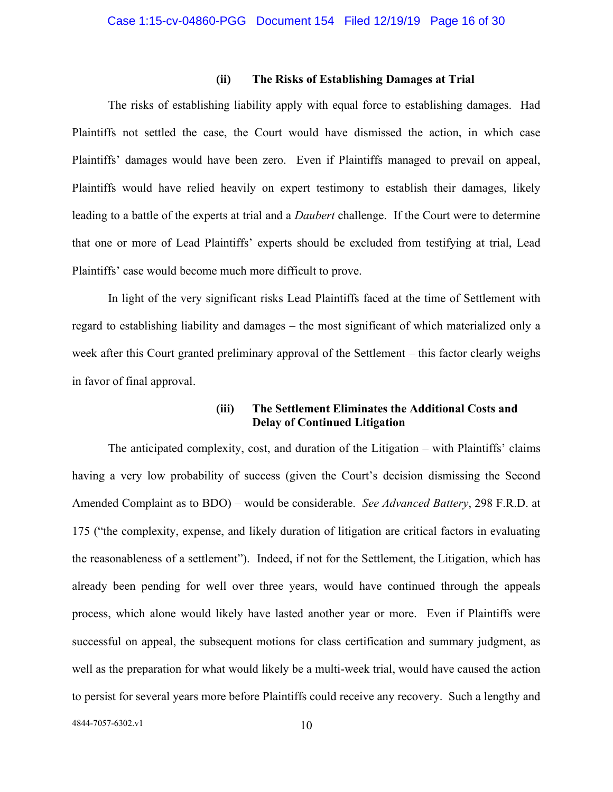#### **(ii) The Risks of Establishing Damages at Trial**

<span id="page-15-0"></span>The risks of establishing liability apply with equal force to establishing damages. Had Plaintiffs not settled the case, the Court would have dismissed the action, in which case Plaintiffs' damages would have been zero. Even if Plaintiffs managed to prevail on appeal, Plaintiffs would have relied heavily on expert testimony to establish their damages, likely leading to a battle of the experts at trial and a *Daubert* challenge. If the Court were to determine that one or more of Lead Plaintiffs' experts should be excluded from testifying at trial, Lead Plaintiffs' case would become much more difficult to prove.

In light of the very significant risks Lead Plaintiffs faced at the time of Settlement with regard to establishing liability and damages – the most significant of which materialized only a week after this Court granted preliminary approval of the Settlement – this factor clearly weighs in favor of final approval.

# **(iii) The Settlement Eliminates the Additional Costs and Delay of Continued Litigation**

<span id="page-15-1"></span>The anticipated complexity, cost, and duration of the Litigation – with Plaintiffs' claims having a very low probability of success (given the Court's decision dismissing the Second Amended Complaint as to BDO) – would be considerable. *See Advanced Battery*, 298 F.R.D. at 175 ("the complexity, expense, and likely duration of litigation are critical factors in evaluating the reasonableness of a settlement"). Indeed, if not for the Settlement, the Litigation, which has already been pending for well over three years, would have continued through the appeals process, which alone would likely have lasted another year or more. Even if Plaintiffs were successful on appeal, the subsequent motions for class certification and summary judgment, as well as the preparation for what would likely be a multi-week trial, would have caused the action to persist for several years more before Plaintiffs could receive any recovery. Such a lengthy and

4844-7057-6302.v1 10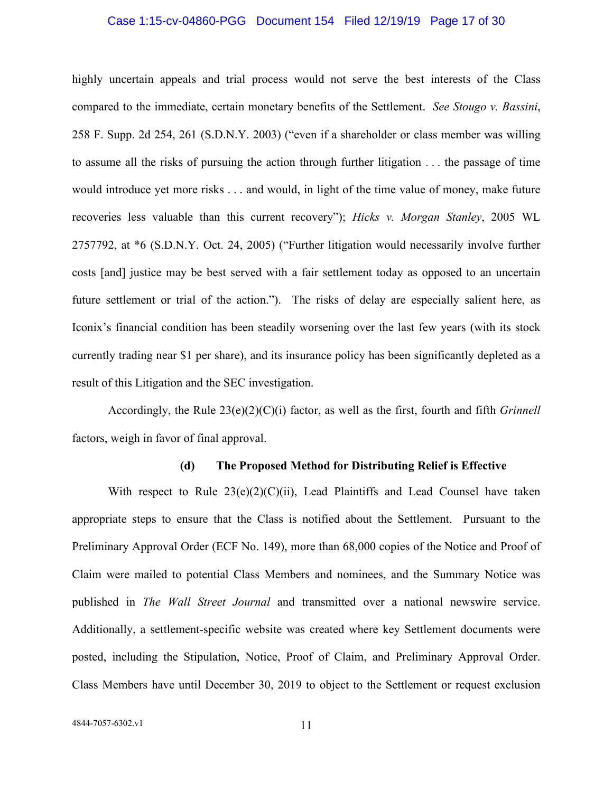#### Case 1:15-cv-04860-PGG Document 154 Filed 12/19/19 Page 17 of 30

highly uncertain appeals and trial process would not serve the best interests of the Class compared to the immediate, certain monetary benefits of the Settlement. *See Stougo v. Bassini*, 258 F. Supp. 2d 254, 261 (S.D.N.Y. 2003) ("even if a shareholder or class member was willing to assume all the risks of pursuing the action through further litigation . . . the passage of time would introduce yet more risks . . . and would, in light of the time value of money, make future recoveries less valuable than this current recovery"); *Hicks v. Morgan Stanley*, 2005 WL 2757792, at \*6 (S.D.N.Y. Oct. 24, 2005) ("Further litigation would necessarily involve further costs [and] justice may be best served with a fair settlement today as opposed to an uncertain future settlement or trial of the action."). The risks of delay are especially salient here, as Iconix's financial condition has been steadily worsening over the last few years (with its stock currently trading near \$1 per share), and its insurance policy has been significantly depleted as a result of this Litigation and the SEC investigation.

Accordingly, the Rule 23(e)(2)(C)(i) factor, as well as the first, fourth and fifth *Grinnell*  factors, weigh in favor of final approval.

#### **(d) The Proposed Method for Distributing Relief is Effective**

<span id="page-16-0"></span>With respect to Rule  $23(e)(2)(C)(ii)$ , Lead Plaintiffs and Lead Counsel have taken appropriate steps to ensure that the Class is notified about the Settlement. Pursuant to the Preliminary Approval Order (ECF No. 149), more than 68,000 copies of the Notice and Proof of Claim were mailed to potential Class Members and nominees, and the Summary Notice was published in *The Wall Street Journal* and transmitted over a national newswire service. Additionally, a settlement-specific website was created where key Settlement documents were posted, including the Stipulation, Notice, Proof of Claim, and Preliminary Approval Order. Class Members have until December 30, 2019 to object to the Settlement or request exclusion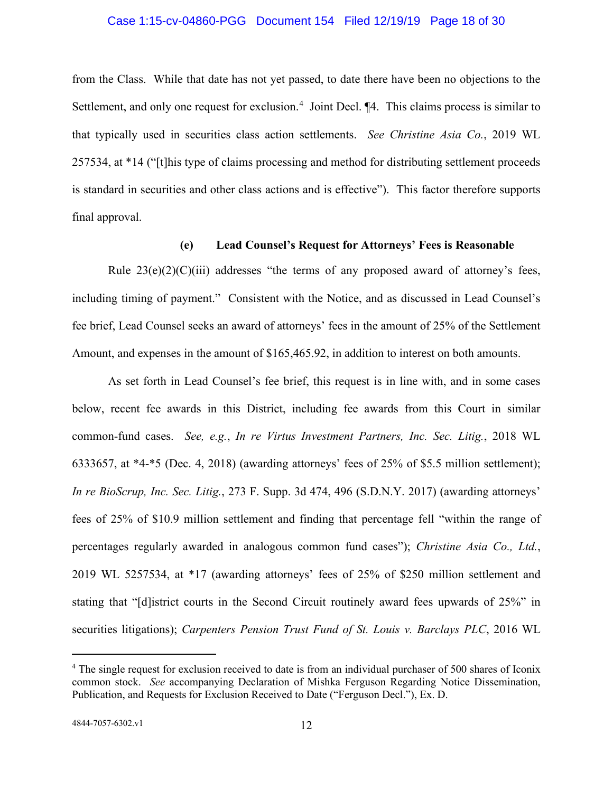#### Case 1:15-cv-04860-PGG Document 154 Filed 12/19/19 Page 18 of 30

from the Class. While that date has not yet passed, to date there have been no objections to the Settlement, and only one request for exclusion.<sup>[4](#page-17-1)</sup> Joint Decl. [4. This claims process is similar to that typically used in securities class action settlements. *See Christine Asia Co.*, 2019 WL 257534, at \*14 ("[t]his type of claims processing and method for distributing settlement proceeds is standard in securities and other class actions and is effective"). This factor therefore supports final approval.

# **(e) Lead Counsel's Request for Attorneys' Fees is Reasonable**

<span id="page-17-0"></span>Rule  $23(e)(2)(C)(iii)$  addresses "the terms of any proposed award of attorney's fees, including timing of payment." Consistent with the Notice, and as discussed in Lead Counsel's fee brief, Lead Counsel seeks an award of attorneys' fees in the amount of 25% of the Settlement Amount, and expenses in the amount of \$165,465.92, in addition to interest on both amounts.

As set forth in Lead Counsel's fee brief, this request is in line with, and in some cases below, recent fee awards in this District, including fee awards from this Court in similar common-fund cases. *See, e.g.*, *In re Virtus Investment Partners, Inc. Sec. Litig.*, 2018 WL 6333657, at \*4-\*5 (Dec. 4, 2018) (awarding attorneys' fees of 25% of \$5.5 million settlement); *In re BioScrup, Inc. Sec. Litig.*, 273 F. Supp. 3d 474, 496 (S.D.N.Y. 2017) (awarding attorneys' fees of 25% of \$10.9 million settlement and finding that percentage fell "within the range of percentages regularly awarded in analogous common fund cases"); *Christine Asia Co., Ltd.*, 2019 WL 5257534, at \*17 (awarding attorneys' fees of 25% of \$250 million settlement and stating that "[d]istrict courts in the Second Circuit routinely award fees upwards of 25%" in securities litigations); *Carpenters Pension Trust Fund of St. Louis v. Barclays PLC*, 2016 WL

<span id="page-17-1"></span><sup>4</sup> The single request for exclusion received to date is from an individual purchaser of 500 shares of Iconix common stock. *See* accompanying Declaration of Mishka Ferguson Regarding Notice Dissemination, Publication, and Requests for Exclusion Received to Date ("Ferguson Decl."), Ex. D.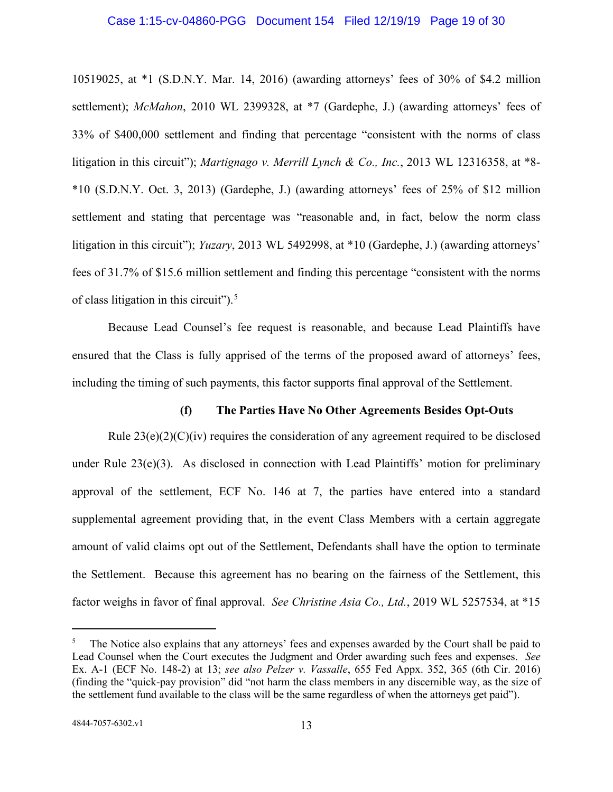#### Case 1:15-cv-04860-PGG Document 154 Filed 12/19/19 Page 19 of 30

10519025, at \*1 (S.D.N.Y. Mar. 14, 2016) (awarding attorneys' fees of 30% of \$4.2 million settlement); *McMahon*, 2010 WL 2399328, at \*7 (Gardephe, J.) (awarding attorneys' fees of 33% of \$400,000 settlement and finding that percentage "consistent with the norms of class litigation in this circuit"); *Martignago v. Merrill Lynch & Co., Inc.*, 2013 WL 12316358, at \*8- \*10 (S.D.N.Y. Oct. 3, 2013) (Gardephe, J.) (awarding attorneys' fees of 25% of \$12 million settlement and stating that percentage was "reasonable and, in fact, below the norm class litigation in this circuit"); *Yuzary*, 2013 WL 5492998, at \*10 (Gardephe, J.) (awarding attorneys' fees of 31.7% of \$15.6 million settlement and finding this percentage "consistent with the norms of class litigation in this circuit").<sup>[5](#page-18-1)</sup>

Because Lead Counsel's fee request is reasonable, and because Lead Plaintiffs have ensured that the Class is fully apprised of the terms of the proposed award of attorneys' fees, including the timing of such payments, this factor supports final approval of the Settlement.

#### **(f) The Parties Have No Other Agreements Besides Opt-Outs**

<span id="page-18-0"></span>Rule  $23(e)(2)(C)(iv)$  requires the consideration of any agreement required to be disclosed under Rule  $23(e)(3)$ . As disclosed in connection with Lead Plaintiffs' motion for preliminary approval of the settlement, ECF No. 146 at 7, the parties have entered into a standard supplemental agreement providing that, in the event Class Members with a certain aggregate amount of valid claims opt out of the Settlement, Defendants shall have the option to terminate the Settlement. Because this agreement has no bearing on the fairness of the Settlement, this factor weighs in favor of final approval. *See Christine Asia Co., Ltd.*, 2019 WL 5257534, at \*15

<span id="page-18-1"></span><sup>&</sup>lt;sup>5</sup> The Notice also explains that any attorneys' fees and expenses awarded by the Court shall be paid to Lead Counsel when the Court executes the Judgment and Order awarding such fees and expenses. *See*  Ex. A-1 (ECF No. 148-2) at 13; *see also Pelzer v. Vassalle*, 655 Fed Appx. 352, 365 (6th Cir. 2016) (finding the "quick-pay provision" did "not harm the class members in any discernible way, as the size of the settlement fund available to the class will be the same regardless of when the attorneys get paid").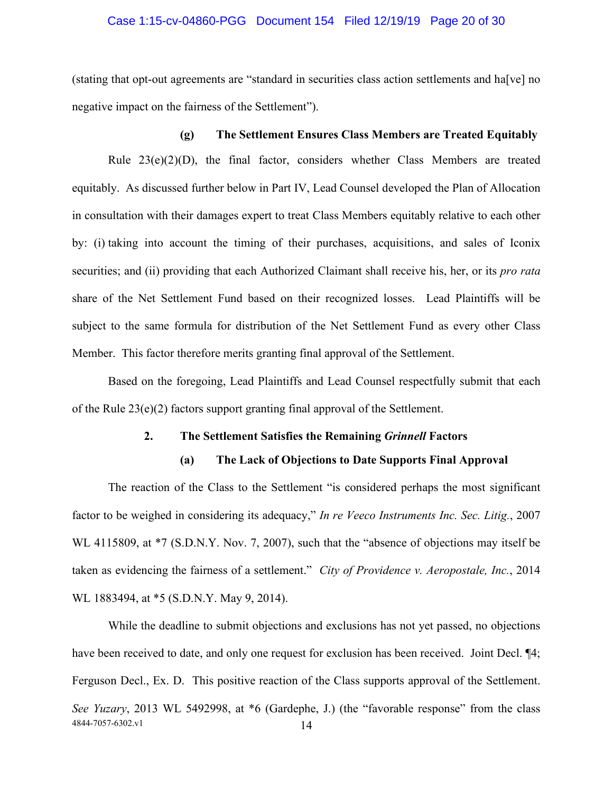#### Case 1:15-cv-04860-PGG Document 154 Filed 12/19/19 Page 20 of 30

(stating that opt-out agreements are "standard in securities class action settlements and ha[ve] no negative impact on the fairness of the Settlement").

### **(g) The Settlement Ensures Class Members are Treated Equitably**

<span id="page-19-0"></span>Rule 23(e)(2)(D), the final factor, considers whether Class Members are treated equitably. As discussed further below in Part IV, Lead Counsel developed the Plan of Allocation in consultation with their damages expert to treat Class Members equitably relative to each other by: (i) taking into account the timing of their purchases, acquisitions, and sales of Iconix securities; and (ii) providing that each Authorized Claimant shall receive his, her, or its *pro rata*  share of the Net Settlement Fund based on their recognized losses. Lead Plaintiffs will be subject to the same formula for distribution of the Net Settlement Fund as every other Class Member. This factor therefore merits granting final approval of the Settlement.

<span id="page-19-1"></span>Based on the foregoing, Lead Plaintiffs and Lead Counsel respectfully submit that each of the Rule 23(e)(2) factors support granting final approval of the Settlement.

### **2. The Settlement Satisfies the Remaining** *Grinnell* **Factors**

#### **(a) The Lack of Objections to Date Supports Final Approval**

<span id="page-19-2"></span>The reaction of the Class to the Settlement "is considered perhaps the most significant factor to be weighed in considering its adequacy," *In re Veeco Instruments Inc. Sec. Litig.*, 2007 WL 4115809, at  $*7$  (S.D.N.Y. Nov. 7, 2007), such that the "absence of objections may itself be taken as evidencing the fairness of a settlement." *City of Providence v. Aeropostale, Inc.*, 2014 WL 1883494, at \*5 (S.D.N.Y. May 9, 2014).

4844-7057-6302.v1 14 While the deadline to submit objections and exclusions has not yet passed, no objections have been received to date, and only one request for exclusion has been received. Joint Decl.  $\P 4$ ; Ferguson Decl., Ex. D. This positive reaction of the Class supports approval of the Settlement. *See Yuzary*, 2013 WL 5492998, at \*6 (Gardephe, J.) (the "favorable response" from the class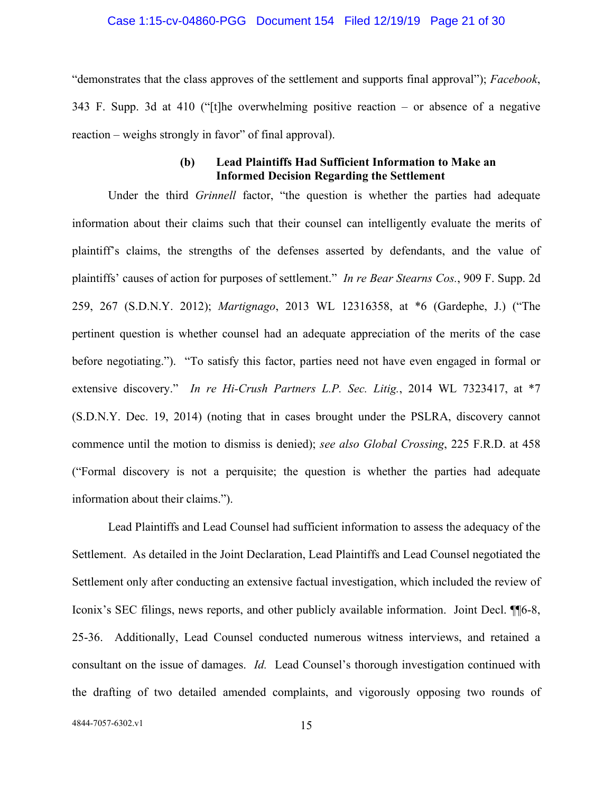#### Case 1:15-cv-04860-PGG Document 154 Filed 12/19/19 Page 21 of 30

"demonstrates that the class approves of the settlement and supports final approval"); *Facebook*, 343 F. Supp. 3d at 410 ("[t]he overwhelming positive reaction – or absence of a negative reaction – weighs strongly in favor" of final approval).

# **(b) Lead Plaintiffs Had Sufficient Information to Make an Informed Decision Regarding the Settlement**

<span id="page-20-0"></span>Under the third *Grinnell* factor, "the question is whether the parties had adequate information about their claims such that their counsel can intelligently evaluate the merits of plaintiff's claims, the strengths of the defenses asserted by defendants, and the value of plaintiffs' causes of action for purposes of settlement." *In re Bear Stearns Cos.*, 909 F. Supp. 2d 259, 267 (S.D.N.Y. 2012); *Martignago*, 2013 WL 12316358, at \*6 (Gardephe, J.) ("The pertinent question is whether counsel had an adequate appreciation of the merits of the case before negotiating."). "To satisfy this factor, parties need not have even engaged in formal or extensive discovery." *In re Hi-Crush Partners L.P. Sec. Litig.*, 2014 WL 7323417, at \*7 (S.D.N.Y. Dec. 19, 2014) (noting that in cases brought under the PSLRA, discovery cannot commence until the motion to dismiss is denied); *see also Global Crossing*, 225 F.R.D. at 458 ("Formal discovery is not a perquisite; the question is whether the parties had adequate information about their claims.").

Lead Plaintiffs and Lead Counsel had sufficient information to assess the adequacy of the Settlement. As detailed in the Joint Declaration, Lead Plaintiffs and Lead Counsel negotiated the Settlement only after conducting an extensive factual investigation, which included the review of Iconix's SEC filings, news reports, and other publicly available information. Joint Decl. ¶¶6-8, 25-36. Additionally, Lead Counsel conducted numerous witness interviews, and retained a consultant on the issue of damages. *Id.* Lead Counsel's thorough investigation continued with the drafting of two detailed amended complaints, and vigorously opposing two rounds of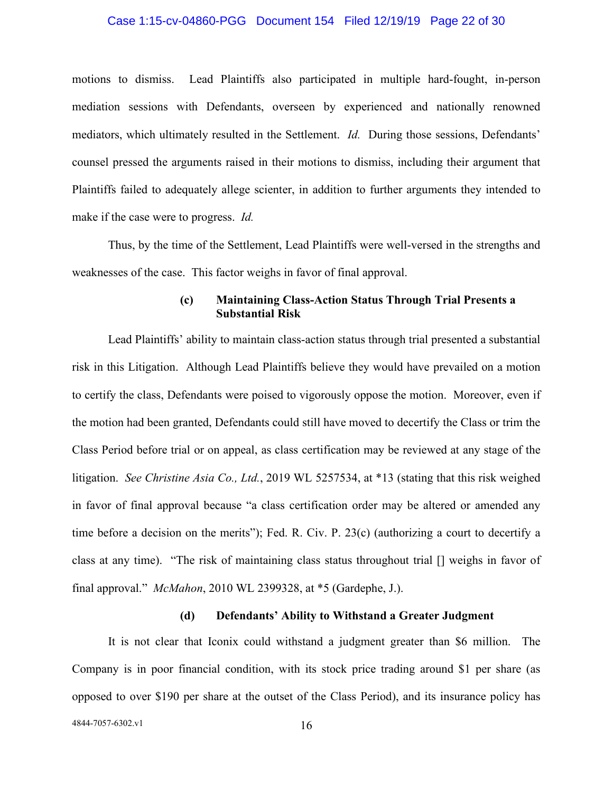# Case 1:15-cv-04860-PGG Document 154 Filed 12/19/19 Page 22 of 30

motions to dismiss. Lead Plaintiffs also participated in multiple hard-fought, in-person mediation sessions with Defendants, overseen by experienced and nationally renowned mediators, which ultimately resulted in the Settlement. *Id.* During those sessions, Defendants' counsel pressed the arguments raised in their motions to dismiss, including their argument that Plaintiffs failed to adequately allege scienter, in addition to further arguments they intended to make if the case were to progress. *Id.* 

Thus, by the time of the Settlement, Lead Plaintiffs were well-versed in the strengths and weaknesses of the case. This factor weighs in favor of final approval.

# **(c) Maintaining Class-Action Status Through Trial Presents a Substantial Risk**

<span id="page-21-0"></span>Lead Plaintiffs' ability to maintain class-action status through trial presented a substantial risk in this Litigation. Although Lead Plaintiffs believe they would have prevailed on a motion to certify the class, Defendants were poised to vigorously oppose the motion. Moreover, even if the motion had been granted, Defendants could still have moved to decertify the Class or trim the Class Period before trial or on appeal, as class certification may be reviewed at any stage of the litigation. *See Christine Asia Co., Ltd.*, 2019 WL 5257534, at \*13 (stating that this risk weighed in favor of final approval because "a class certification order may be altered or amended any time before a decision on the merits"); Fed. R. Civ. P. 23(c) (authorizing a court to decertify a class at any time). "The risk of maintaining class status throughout trial [] weighs in favor of final approval." *McMahon*, 2010 WL 2399328, at \*5 (Gardephe, J.).

#### **(d) Defendants' Ability to Withstand a Greater Judgment**

<span id="page-21-1"></span>It is not clear that Iconix could withstand a judgment greater than \$6 million. The Company is in poor financial condition, with its stock price trading around \$1 per share (as opposed to over \$190 per share at the outset of the Class Period), and its insurance policy has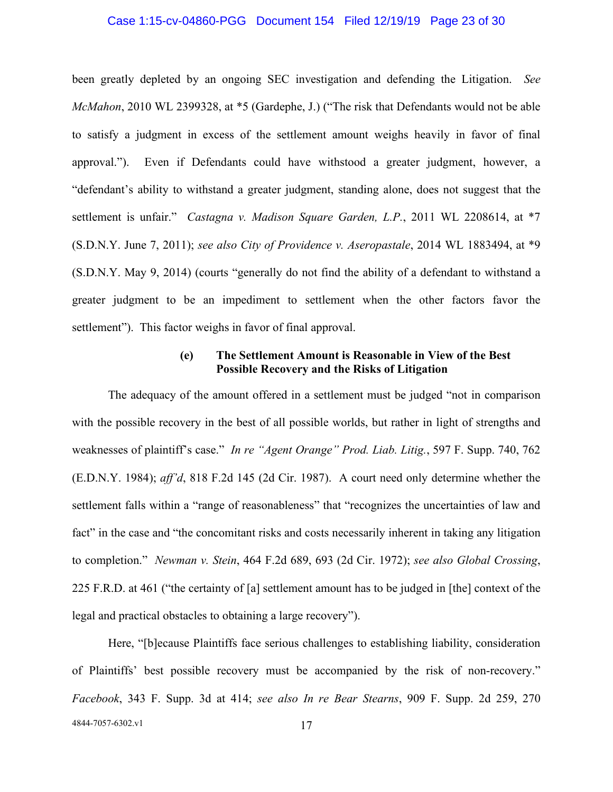#### Case 1:15-cv-04860-PGG Document 154 Filed 12/19/19 Page 23 of 30

been greatly depleted by an ongoing SEC investigation and defending the Litigation. *See McMahon*, 2010 WL 2399328, at \*5 (Gardephe, J.) ("The risk that Defendants would not be able to satisfy a judgment in excess of the settlement amount weighs heavily in favor of final approval."). Even if Defendants could have withstood a greater judgment, however, a "defendant's ability to withstand a greater judgment, standing alone, does not suggest that the settlement is unfair." *Castagna v. Madison Square Garden, L.P.*, 2011 WL 2208614, at \*7 (S.D.N.Y. June 7, 2011); *see also City of Providence v. Aseropastale*, 2014 WL 1883494, at \*9 (S.D.N.Y. May 9, 2014) (courts "generally do not find the ability of a defendant to withstand a greater judgment to be an impediment to settlement when the other factors favor the settlement"). This factor weighs in favor of final approval.

# **(e) The Settlement Amount is Reasonable in View of the Best Possible Recovery and the Risks of Litigation**

<span id="page-22-0"></span>The adequacy of the amount offered in a settlement must be judged "not in comparison with the possible recovery in the best of all possible worlds, but rather in light of strengths and weaknesses of plaintiff's case." *In re "Agent Orange" Prod. Liab. Litig.*, 597 F. Supp. 740, 762 (E.D.N.Y. 1984); *aff'd*, 818 F.2d 145 (2d Cir. 1987). A court need only determine whether the settlement falls within a "range of reasonableness" that "recognizes the uncertainties of law and fact" in the case and "the concomitant risks and costs necessarily inherent in taking any litigation to completion." *Newman v. Stein*, 464 F.2d 689, 693 (2d Cir. 1972); *see also Global Crossing*, 225 F.R.D. at 461 ("the certainty of [a] settlement amount has to be judged in [the] context of the legal and practical obstacles to obtaining a large recovery").

4844-7057-6302.v1 17 Here, "[b]ecause Plaintiffs face serious challenges to establishing liability, consideration of Plaintiffs' best possible recovery must be accompanied by the risk of non-recovery." *Facebook*, 343 F. Supp. 3d at 414; *see also In re Bear Stearns*, 909 F. Supp. 2d 259, 270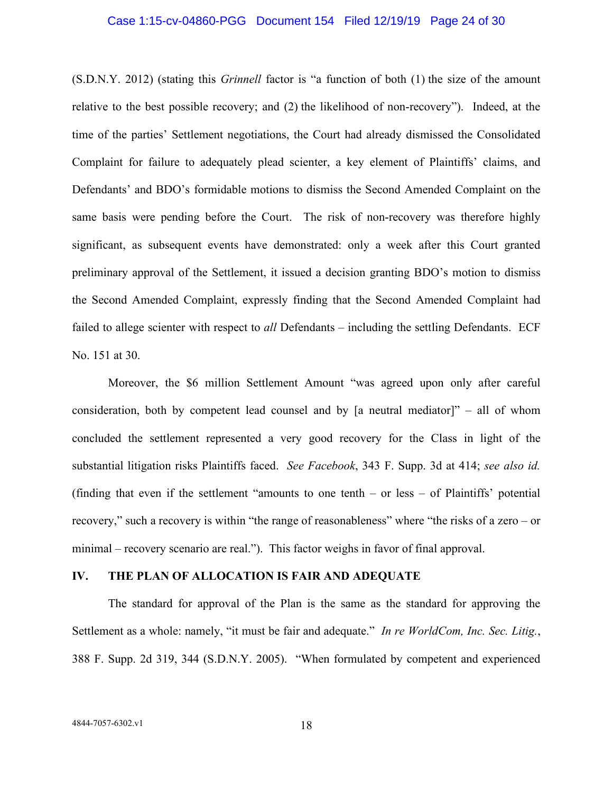#### Case 1:15-cv-04860-PGG Document 154 Filed 12/19/19 Page 24 of 30

(S.D.N.Y. 2012) (stating this *Grinnell* factor is "a function of both (1) the size of the amount relative to the best possible recovery; and (2) the likelihood of non-recovery"). Indeed, at the time of the parties' Settlement negotiations, the Court had already dismissed the Consolidated Complaint for failure to adequately plead scienter, a key element of Plaintiffs' claims, and Defendants' and BDO's formidable motions to dismiss the Second Amended Complaint on the same basis were pending before the Court. The risk of non-recovery was therefore highly significant, as subsequent events have demonstrated: only a week after this Court granted preliminary approval of the Settlement, it issued a decision granting BDO's motion to dismiss the Second Amended Complaint, expressly finding that the Second Amended Complaint had failed to allege scienter with respect to *all* Defendants – including the settling Defendants. ECF No. 151 at 30.

Moreover, the \$6 million Settlement Amount "was agreed upon only after careful consideration, both by competent lead counsel and by [a neutral mediator]" – all of whom concluded the settlement represented a very good recovery for the Class in light of the substantial litigation risks Plaintiffs faced. *See Facebook*, 343 F. Supp. 3d at 414; *see also id.* (finding that even if the settlement "amounts to one tenth – or less – of Plaintiffs' potential recovery," such a recovery is within "the range of reasonableness" where "the risks of a zero – or minimal – recovery scenario are real."). This factor weighs in favor of final approval.

### <span id="page-23-0"></span>**IV. THE PLAN OF ALLOCATION IS FAIR AND ADEQUATE**

The standard for approval of the Plan is the same as the standard for approving the Settlement as a whole: namely, "it must be fair and adequate." *In re WorldCom, Inc. Sec. Litig.*, 388 F. Supp. 2d 319, 344 (S.D.N.Y. 2005). "When formulated by competent and experienced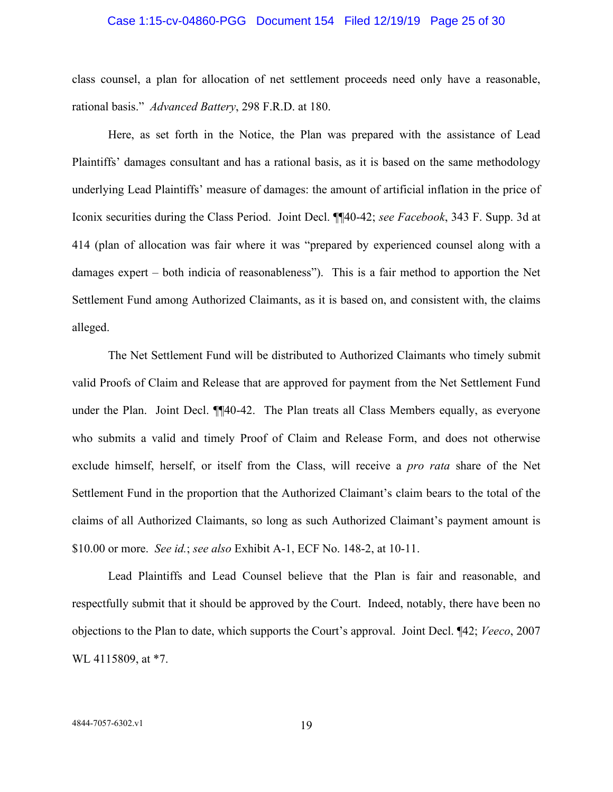#### Case 1:15-cv-04860-PGG Document 154 Filed 12/19/19 Page 25 of 30

class counsel, a plan for allocation of net settlement proceeds need only have a reasonable, rational basis." *Advanced Battery*, 298 F.R.D. at 180.

Here, as set forth in the Notice, the Plan was prepared with the assistance of Lead Plaintiffs' damages consultant and has a rational basis, as it is based on the same methodology underlying Lead Plaintiffs' measure of damages: the amount of artificial inflation in the price of Iconix securities during the Class Period. Joint Decl. ¶¶40-42; *see Facebook*, 343 F. Supp. 3d at 414 (plan of allocation was fair where it was "prepared by experienced counsel along with a damages expert – both indicia of reasonableness"). This is a fair method to apportion the Net Settlement Fund among Authorized Claimants, as it is based on, and consistent with, the claims alleged.

The Net Settlement Fund will be distributed to Authorized Claimants who timely submit valid Proofs of Claim and Release that are approved for payment from the Net Settlement Fund under the Plan. Joint Decl. ¶¶40-42. The Plan treats all Class Members equally, as everyone who submits a valid and timely Proof of Claim and Release Form, and does not otherwise exclude himself, herself, or itself from the Class, will receive a *pro rata* share of the Net Settlement Fund in the proportion that the Authorized Claimant's claim bears to the total of the claims of all Authorized Claimants, so long as such Authorized Claimant's payment amount is \$10.00 or more. *See id.*; *see also* Exhibit A-1, ECF No. 148-2, at 10-11.

Lead Plaintiffs and Lead Counsel believe that the Plan is fair and reasonable, and respectfully submit that it should be approved by the Court. Indeed, notably, there have been no objections to the Plan to date, which supports the Court's approval. Joint Decl. ¶42; *Veeco*, 2007 WL 4115809, at \*7.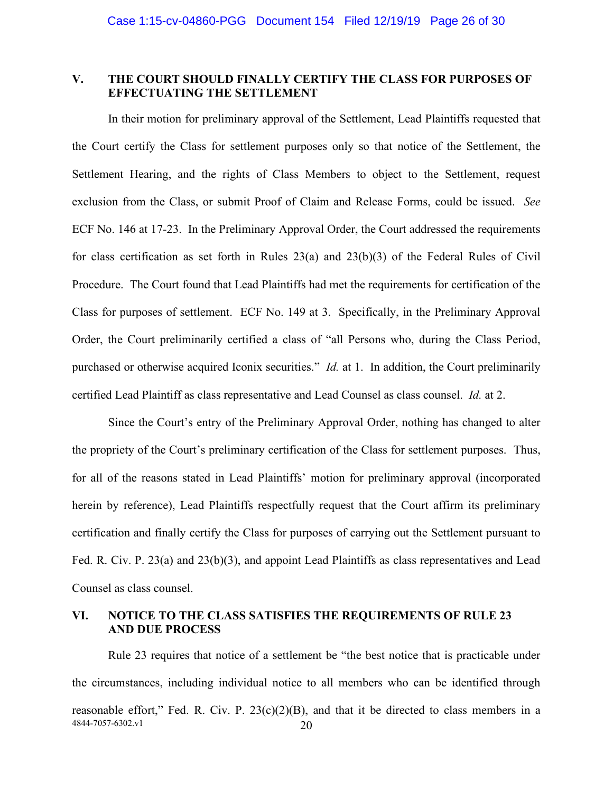# <span id="page-25-0"></span>**V. THE COURT SHOULD FINALLY CERTIFY THE CLASS FOR PURPOSES OF EFFECTUATING THE SETTLEMENT**

In their motion for preliminary approval of the Settlement, Lead Plaintiffs requested that the Court certify the Class for settlement purposes only so that notice of the Settlement, the Settlement Hearing, and the rights of Class Members to object to the Settlement, request exclusion from the Class, or submit Proof of Claim and Release Forms, could be issued. *See*  ECF No. 146 at 17-23. In the Preliminary Approval Order, the Court addressed the requirements for class certification as set forth in Rules 23(a) and 23(b)(3) of the Federal Rules of Civil Procedure. The Court found that Lead Plaintiffs had met the requirements for certification of the Class for purposes of settlement. ECF No. 149 at 3. Specifically, in the Preliminary Approval Order, the Court preliminarily certified a class of "all Persons who, during the Class Period, purchased or otherwise acquired Iconix securities." *Id.* at 1. In addition, the Court preliminarily certified Lead Plaintiff as class representative and Lead Counsel as class counsel. *Id.* at 2.

Since the Court's entry of the Preliminary Approval Order, nothing has changed to alter the propriety of the Court's preliminary certification of the Class for settlement purposes. Thus, for all of the reasons stated in Lead Plaintiffs' motion for preliminary approval (incorporated herein by reference), Lead Plaintiffs respectfully request that the Court affirm its preliminary certification and finally certify the Class for purposes of carrying out the Settlement pursuant to Fed. R. Civ. P. 23(a) and 23(b)(3), and appoint Lead Plaintiffs as class representatives and Lead Counsel as class counsel.

# <span id="page-25-1"></span>**VI. NOTICE TO THE CLASS SATISFIES THE REQUIREMENTS OF RULE 23 AND DUE PROCESS**

4844-7057-6302.v1 20 Rule 23 requires that notice of a settlement be "the best notice that is practicable under the circumstances, including individual notice to all members who can be identified through reasonable effort," Fed. R. Civ. P.  $23(c)(2)(B)$ , and that it be directed to class members in a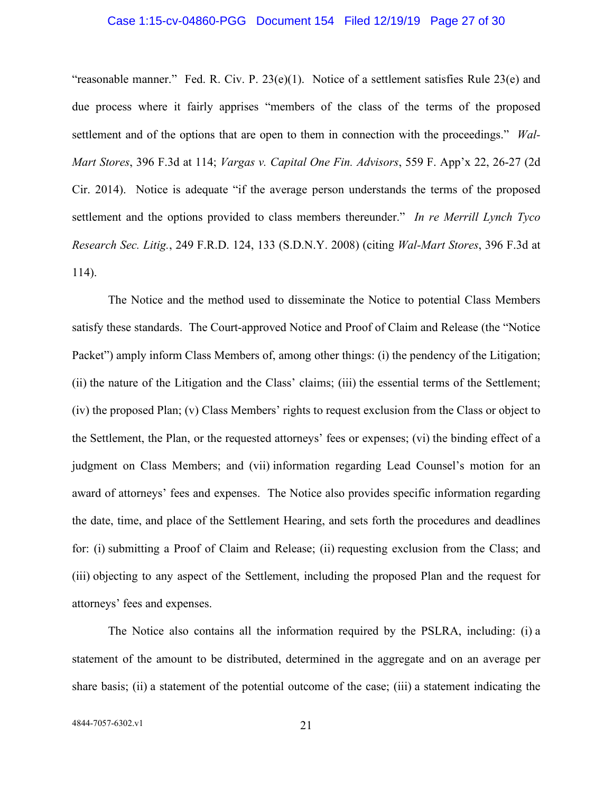#### Case 1:15-cv-04860-PGG Document 154 Filed 12/19/19 Page 27 of 30

"reasonable manner." Fed. R. Civ. P.  $23(e)(1)$ . Notice of a settlement satisfies Rule  $23(e)$  and due process where it fairly apprises "members of the class of the terms of the proposed settlement and of the options that are open to them in connection with the proceedings." *Wal-Mart Stores*, 396 F.3d at 114; *Vargas v. Capital One Fin. Advisors*, 559 F. App'x 22, 26-27 (2d Cir. 2014). Notice is adequate "if the average person understands the terms of the proposed settlement and the options provided to class members thereunder." *In re Merrill Lynch Tyco Research Sec. Litig.*, 249 F.R.D. 124, 133 (S.D.N.Y. 2008) (citing *Wal-Mart Stores*, 396 F.3d at 114).

The Notice and the method used to disseminate the Notice to potential Class Members satisfy these standards. The Court-approved Notice and Proof of Claim and Release (the "Notice Packet") amply inform Class Members of, among other things: (i) the pendency of the Litigation; (ii) the nature of the Litigation and the Class' claims; (iii) the essential terms of the Settlement; (iv) the proposed Plan; (v) Class Members' rights to request exclusion from the Class or object to the Settlement, the Plan, or the requested attorneys' fees or expenses; (vi) the binding effect of a judgment on Class Members; and (vii) information regarding Lead Counsel's motion for an award of attorneys' fees and expenses. The Notice also provides specific information regarding the date, time, and place of the Settlement Hearing, and sets forth the procedures and deadlines for: (i) submitting a Proof of Claim and Release; (ii) requesting exclusion from the Class; and (iii) objecting to any aspect of the Settlement, including the proposed Plan and the request for attorneys' fees and expenses.

The Notice also contains all the information required by the PSLRA, including: (i) a statement of the amount to be distributed, determined in the aggregate and on an average per share basis; (ii) a statement of the potential outcome of the case; (iii) a statement indicating the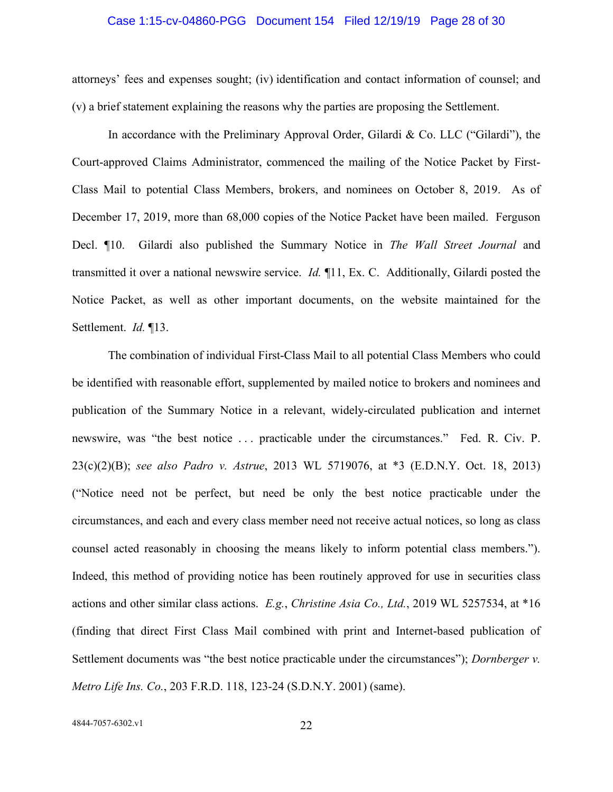#### Case 1:15-cv-04860-PGG Document 154 Filed 12/19/19 Page 28 of 30

attorneys' fees and expenses sought; (iv) identification and contact information of counsel; and (v) a brief statement explaining the reasons why the parties are proposing the Settlement.

In accordance with the Preliminary Approval Order, Gilardi & Co. LLC ("Gilardi"), the Court-approved Claims Administrator, commenced the mailing of the Notice Packet by First-Class Mail to potential Class Members, brokers, and nominees on October 8, 2019. As of December 17, 2019, more than 68,000 copies of the Notice Packet have been mailed. Ferguson Decl. ¶10. Gilardi also published the Summary Notice in *The Wall Street Journal* and transmitted it over a national newswire service. *Id.* ¶11, Ex. C. Additionally, Gilardi posted the Notice Packet, as well as other important documents, on the website maintained for the Settlement. *Id.* ¶13.

The combination of individual First-Class Mail to all potential Class Members who could be identified with reasonable effort, supplemented by mailed notice to brokers and nominees and publication of the Summary Notice in a relevant, widely-circulated publication and internet newswire, was "the best notice . . . practicable under the circumstances." Fed. R. Civ. P. 23(c)(2)(B); *see also Padro v. Astrue*, 2013 WL 5719076, at \*3 (E.D.N.Y. Oct. 18, 2013) ("Notice need not be perfect, but need be only the best notice practicable under the circumstances, and each and every class member need not receive actual notices, so long as class counsel acted reasonably in choosing the means likely to inform potential class members."). Indeed, this method of providing notice has been routinely approved for use in securities class actions and other similar class actions. *E.g.*, *Christine Asia Co., Ltd.*, 2019 WL 5257534, at \*16 (finding that direct First Class Mail combined with print and Internet-based publication of Settlement documents was "the best notice practicable under the circumstances"); *Dornberger v. Metro Life Ins. Co.*, 203 F.R.D. 118, 123-24 (S.D.N.Y. 2001) (same).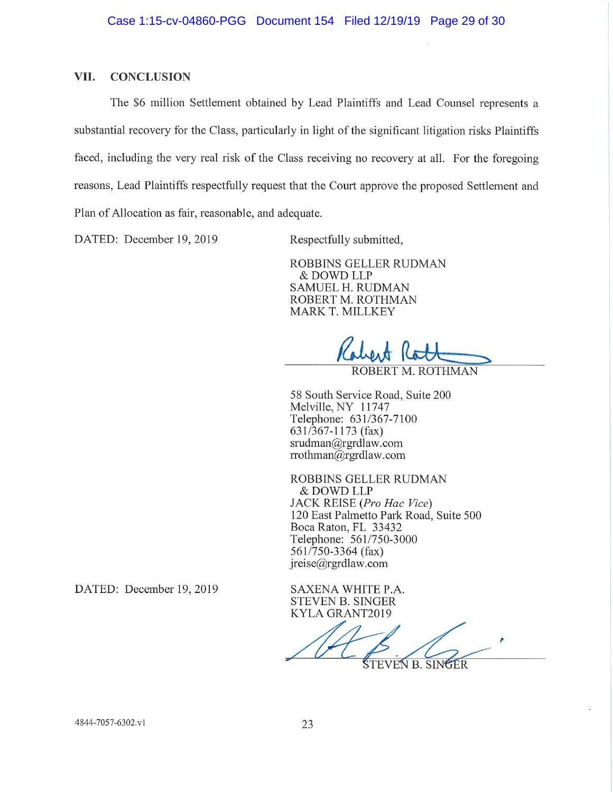#### VII. **CONCLUSION**

The \$6 million Settlement obtained by Lead Plaintiffs and Lead Counsel represents a substantial recovery for the Class, particularly in light of the significant litigation risks Plaintiffs faced, including the very real risk of the Class receiving no recovery at all. For the foregoing reasons, Lead Plaintiffs respectfully request that the Court approve the proposed Settlement and Plan of Allocation as fair, reasonable, and adequate.

DATED: December 19, 2019

Respectfully submitted,

ROBBINS GELLER RUDMAN & DOWD LLP **SAMUEL H. RUDMAN** ROBERT M. ROTHMAN **MARK T. MILLKEY** 

58 South Service Road, Suite 200 Melville, NY 11747 Telephone: 631/367-7100  $631/367 - 1173$  (fax)  $srudman@rgrdlaw.com$ rrothman@rgrdlaw.com

ROBBINS GELLER RUDMAN & DOWD LLP JACK REISE (Pro Hac Vice) 120 East Palmetto Park Road, Suite 500 Boca Raton, FL 33432 Telephone: 561/750-3000  $561/750-3364$  (fax) jreise@rgrdlaw.com

SAXENA WHITE P.A. **STEVEN B. SINGER** KYLA GRANT2019

ŠTEVEN B. SINGER

DATED: December 19, 2019

4844-7057-6302.v1

ROBERT M. ROTHMAN